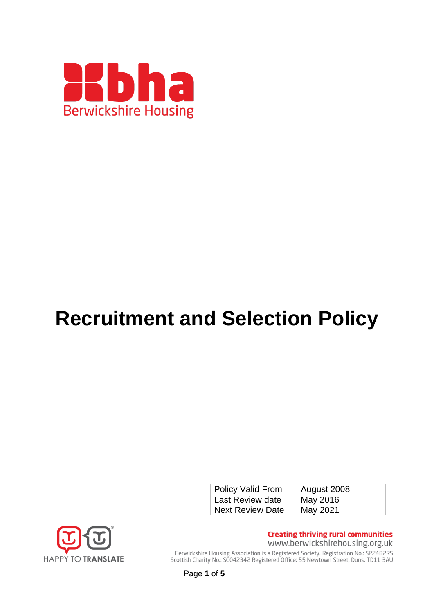

# **Recruitment and Selection Policy**

| <b>Policy Valid From</b> | August 2008 |
|--------------------------|-------------|
| Last Review date         | May 2016    |
| <b>Next Review Date</b>  | May 2021    |



**Creating thriving rural communities** www.berwickshirehousing.org.uk

Berwickshire Housing Association is a Registered Society. Registration No.: SP2482RS Scottish Charity No.: SC042342 Registered Office: 55 Newtown Street, Duns, TD11 3AU

Page **1** of **5**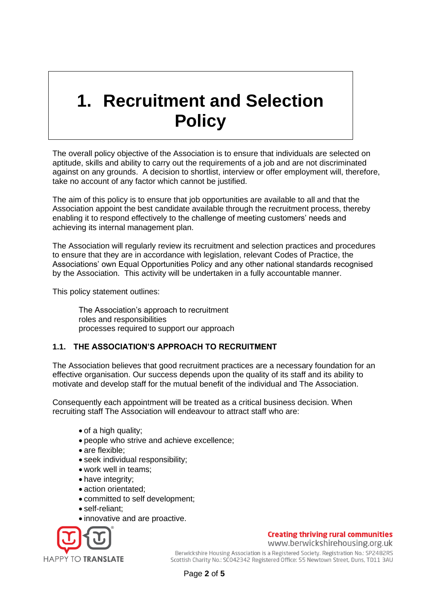# **1. Recruitment and Selection Policy**

The overall policy objective of the Association is to ensure that individuals are selected on aptitude, skills and ability to carry out the requirements of a job and are not discriminated against on any grounds. A decision to shortlist, interview or offer employment will, therefore, take no account of any factor which cannot be justified.

The aim of this policy is to ensure that job opportunities are available to all and that the Association appoint the best candidate available through the recruitment process, thereby enabling it to respond effectively to the challenge of meeting customers' needs and achieving its internal management plan.

The Association will regularly review its recruitment and selection practices and procedures to ensure that they are in accordance with legislation, relevant Codes of Practice, the Associations' own Equal Opportunities Policy and any other national standards recognised by the Association. This activity will be undertaken in a fully accountable manner.

This policy statement outlines:

The Association's approach to recruitment roles and responsibilities processes required to support our approach

# **1.1. THE ASSOCIATION'S APPROACH TO RECRUITMENT**

The Association believes that good recruitment practices are a necessary foundation for an effective organisation. Our success depends upon the quality of its staff and its ability to motivate and develop staff for the mutual benefit of the individual and The Association.

Consequently each appointment will be treated as a critical business decision. When recruiting staff The Association will endeavour to attract staff who are:

- of a high quality;
- people who strive and achieve excellence;
- are flexible;
- seek individual responsibility;
- work well in teams;
- have integrity;
- action orientated;
- committed to self development;
- self-reliant;
- innovative and are proactive.



#### **Creating thriving rural communities** www.berwickshirehousing.org.uk

Berwickshire Housing Association is a Registered Society. Registration No.: SP2482RS Scottish Charity No.: SC042342 Registered Office: 55 Newtown Street, Duns, TD11 3AU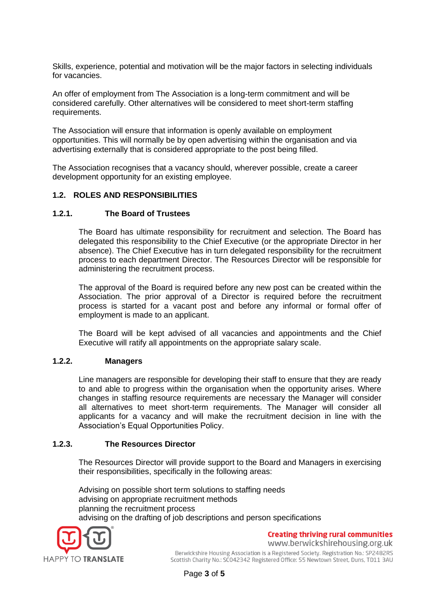Skills, experience, potential and motivation will be the major factors in selecting individuals for vacancies.

An offer of employment from The Association is a long-term commitment and will be considered carefully. Other alternatives will be considered to meet short-term staffing requirements.

The Association will ensure that information is openly available on employment opportunities. This will normally be by open advertising within the organisation and via advertising externally that is considered appropriate to the post being filled.

The Association recognises that a vacancy should, wherever possible, create a career development opportunity for an existing employee.

## **1.2. ROLES AND RESPONSIBILITIES**

### **1.2.1. The Board of Trustees**

The Board has ultimate responsibility for recruitment and selection. The Board has delegated this responsibility to the Chief Executive (or the appropriate Director in her absence). The Chief Executive has in turn delegated responsibility for the recruitment process to each department Director. The Resources Director will be responsible for administering the recruitment process.

The approval of the Board is required before any new post can be created within the Association. The prior approval of a Director is required before the recruitment process is started for a vacant post and before any informal or formal offer of employment is made to an applicant.

The Board will be kept advised of all vacancies and appointments and the Chief Executive will ratify all appointments on the appropriate salary scale.

#### **1.2.2. Managers**

Line managers are responsible for developing their staff to ensure that they are ready to and able to progress within the organisation when the opportunity arises. Where changes in staffing resource requirements are necessary the Manager will consider all alternatives to meet short-term requirements. The Manager will consider all applicants for a vacancy and will make the recruitment decision in line with the Association's Equal Opportunities Policy.

#### **1.2.3. The Resources Director**

The Resources Director will provide support to the Board and Managers in exercising their responsibilities, specifically in the following areas:

Advising on possible short term solutions to staffing needs advising on appropriate recruitment methods planning the recruitment process advising on the drafting of job descriptions and person specifications



**Creating thriving rural communities** www.berwickshirehousing.org.uk

Berwickshire Housing Association is a Registered Society. Registration No.: SP2482RS Scottish Charity No.: SC042342 Registered Office: 55 Newtown Street, Duns, TD11 3AU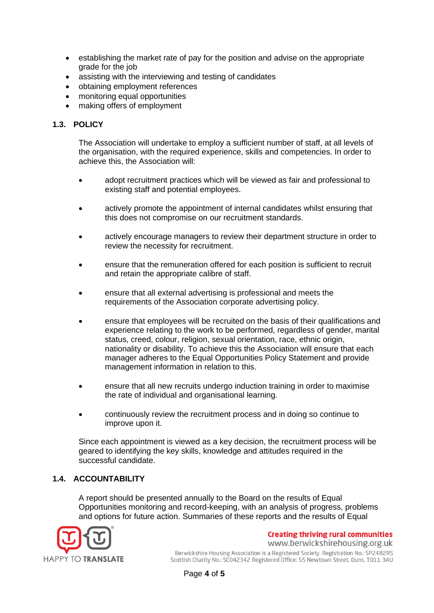- establishing the market rate of pay for the position and advise on the appropriate grade for the job
- assisting with the interviewing and testing of candidates
- obtaining employment references
- monitoring equal opportunities
- making offers of employment

# **1.3. POLICY**

The Association will undertake to employ a sufficient number of staff, at all levels of the organisation, with the required experience, skills and competencies. In order to achieve this, the Association will:

- adopt recruitment practices which will be viewed as fair and professional to existing staff and potential employees.
- actively promote the appointment of internal candidates whilst ensuring that this does not compromise on our recruitment standards.
- actively encourage managers to review their department structure in order to review the necessity for recruitment.
- ensure that the remuneration offered for each position is sufficient to recruit and retain the appropriate calibre of staff.
- ensure that all external advertising is professional and meets the requirements of the Association corporate advertising policy.
- ensure that employees will be recruited on the basis of their qualifications and experience relating to the work to be performed, regardless of gender, marital status, creed, colour, religion, sexual orientation, race, ethnic origin, nationality or disability. To achieve this the Association will ensure that each manager adheres to the Equal Opportunities Policy Statement and provide management information in relation to this.
- ensure that all new recruits undergo induction training in order to maximise the rate of individual and organisational learning.
- continuously review the recruitment process and in doing so continue to improve upon it.

Since each appointment is viewed as a key decision, the recruitment process will be geared to identifying the key skills, knowledge and attitudes required in the successful candidate.

# **1.4. ACCOUNTABILITY**

A report should be presented annually to the Board on the results of Equal Opportunities monitoring and record-keeping, with an analysis of progress, problems and options for future action. Summaries of these reports and the results of Equal



**Creating thriving rural communities** www.berwickshirehousing.org.uk

Berwickshire Housing Association is a Registered Society. Registration No.: SP2482RS Scottish Charity No.: SC042342 Registered Office: 55 Newtown Street, Duns, TD11 3AU

Page **4** of **5**